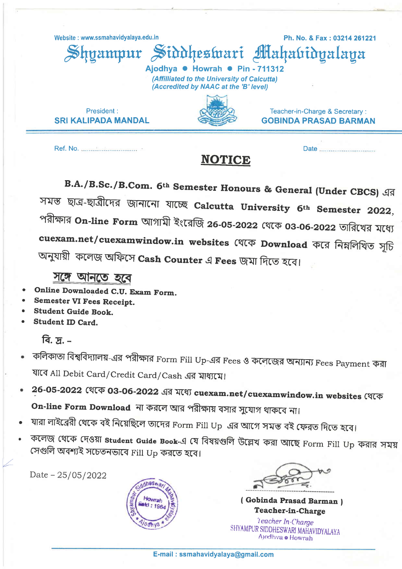$\mathbb S$ hvampur  $\mathbb S$ iddheswari Maha(ridyalaya Website : www.ssmahavidyalaya.edu.in example of the example of the Ph. No. & Fax : 03214 261221

> Teacher-in-Charge & Secretary : GOBINDA PRASAD BARMAN

Ajodhya • Howrah • Pin - 711312 (Affilliated to the University of Calcutta) (Accredited by NAAC at the 'B' level)

President : SRI KALIPADA MANDAL

Ref. No.

Date ..................

## NOTICE

B.A./B.Sc./B.Com. 6<sup>th</sup> Semester Honours & General (Under CBCS) এর সমস্ত ছাত্ৰ-ছাত্ৰীদের জানানো যাচ্ছে Calcutta University 6th Semester 2022, পরীক্ষার On-line Form আগামী ইংরেজি 26-05-2022 থেকে 03-06-2022 তারিখের মধ্যে cuexam.net/cuexamwindow.in websites থেকে Download করে নিম্নলিখিত সূচি<br>অনুযায়ী কলেজ অফিসে Cash Counter এ Fees জমা দিতে হবে।

- সঙ্গে আনতে হবে
- Online Downloaded C.U. Exam Form. a
- Semester VI Fees Receipt. a
- Student Guide Book. a
- Student ID Card. a

বি. দ. –

- কলিকাতা বিশ্ববিদ্যালয়-এর পরীক্ষার Form Fill Up-এর Fees ও কলেজের অন্যান্য Fees Payment করা যাবে All Debit Card/Credit Card/Cash এর মাধ্যমে।
- $26$ -05-2022 (शत्क 03-06-2022 এর মধ্যে cuexam.net/cuexamwindow.in websites থেকে On-line Form Download না করলে আর পরীক্ষায় বসার সুযোগ থাকবে না।
- যারা লাইব্রেরী থেকে বই নিয়েছিলে তাদের Form Fill Up এর আগে সমস্ত বই ফেরত দিতে হবে।
- কলেজ থেকে দেওয়া student Guide Book-এ যে বিষয়গুলি উল্লেখ করা আছে Form Fill Up করার সময়<br>সেগুলি অবশ্যই সচেতনভাবে Fill Up করতে হবে।

Date  $-25/05/2022$ 

tl



(Gobinda Prasad Barman) Teacher-in-Charge

'teacher In\_Charge SHYAMPUR SIDDHESWARI MAHAVIDYALAYA Ajodhva o Howrah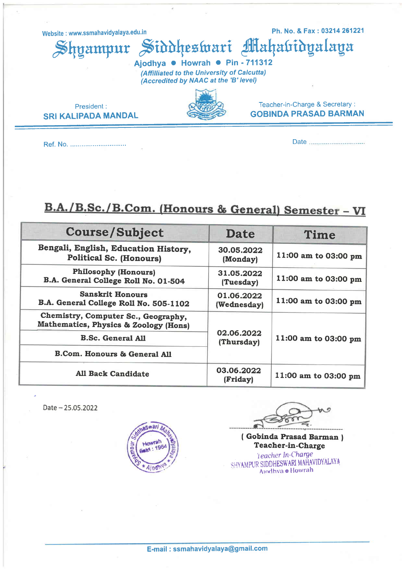Website : www.ssmahavidyalaya.edu.in Ph. No. & Fax : 03214 261221

Teacher-in-Charge & Secretary : GOBINDA PRASAD BARMAN

yampur Siddheswari Mahabidyalaya

Ajodhya • Howrah • Pin - 711312 (Affilliated to the University of Calcutta) (Accredited bY NAAC at the 'B' level)

President: **SRI KALIPADA MANDAL** 

Date Ref. No.

# B.A./B.Sc./B.Com. (Honours & General) Semester - VI

| <b>Course/Subject</b>                                                        | <b>Date</b>               | Time                 |
|------------------------------------------------------------------------------|---------------------------|----------------------|
| Bengali, English, Education History,<br><b>Political Sc. (Honours)</b>       | 30.05.2022<br>(Monday)    | 11:00 am to 03:00 pm |
| <b>Philosophy (Honours)</b><br>B.A. General College Roll No. 01-504          | 31.05.2022<br>(Tuesday)   | 11:00 am to 03:00 pm |
| <b>Sanskrit Honours</b><br>B.A. General College Roll No. 505-1102            | 01.06.2022<br>(Wednesday) | 11:00 am to 03:00 pm |
| Chemistry, Computer Sc., Geography,<br>Mathematics, Physics & Zoology (Hons) | 02.06.2022<br>(Thursday)  | 11:00 am to 03:00 pm |
| <b>B.Sc. General All</b>                                                     |                           |                      |
| <b>B.Com. Honours &amp; General All</b>                                      |                           |                      |
| <b>All Back Candidate</b>                                                    | 03.06.2022<br>(Friday)    | 11:00 am to 03:00 pm |

 $Date - 25.05.2022$ 



( Gobinda Prasad Barman <sup>I</sup> Teacher-in-Charge 'leacher ln-Charge SHYAMPUR SIDDHESWARI MAHAVIDYALAH Arodhva o Howrah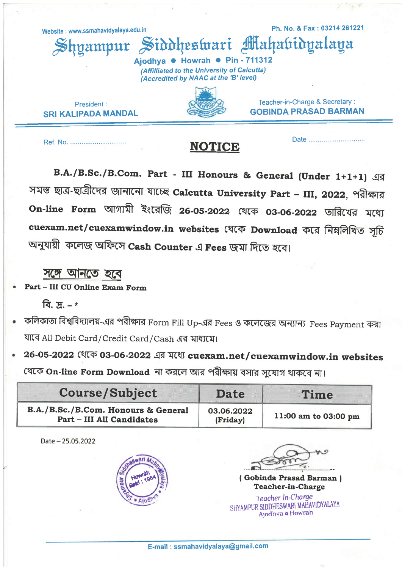Website : www.ssmahavidyalaya.edu.in Ph. No. & Fax : 03214 261221

Ajodhya • Howrah • Pin - 711312 (Affilliated to the University of Calcutta) (Accredited bY NAAC at the'B'level)

 $\mathbb S$ hyampur  $\mathbb S$ iddhestvari Mahatidyalaya

President: SRI KALIPADA MANDAL



Teacher-in-Charge & Secretary : GOBINDA PRASAD BARMAN

Ref. No. **NOTICE** 

Date ................................

B.A./B.Sc./B.Com. Part - III Honours & General (Under 1+1+1) এর সমস্ত ছাত্র-ছাত্রীদের জানানো যাচ্ছে Calcutta University Part - III, 2022, পরীক্ষার<br>On-line Form আগামী ইংরেজি 26-05-2022 থেকে 03-06-2022 তারিখের মধ্যে cuexam.net/cuexamwindow.in websites থেকে Download করে নিম্নলিখিত সৃচি অনুযায়ী কলেজ অফিসে Cash Counter এ Fees জমা দিতে হবে।

### সঙ্গে আনতে হবে

#### Part - III CU Online Exam Form

বি. দ. –  $*$ 

- কলিকাতা বিশ্ববিদ্যালয়-এর পরীক্ষার Form Fill Up-এর Fees ও কলেজের অন্যান্য Fees Payment করা যাবে All Debit Card/Credit Card/Cash এর মাধ্যমে।
- 26-05-2022 (थटक 03-06-2022 এর মধ্যে cuexam.net/cuexamwindow.in websites থেকে On-line Form Download না করলে আর পরীক্ষায় বসার সুযোগ থাকবে না।

| <b>Course/Subject</b>                                                   | <b>Date</b>            | Time                 |
|-------------------------------------------------------------------------|------------------------|----------------------|
| B.A./B.Sc./B.Com. Honours & General<br><b>Part - III All Candidates</b> | 03.06.2022<br>(Friday) | 11:00 am to 03:00 pm |

 $Date - 25.05.2022$ 



( Gobinda Prasad Barman ) Teacher-in-Charge

leacher In-Charge SHYAMPUR SIDDHESWARI MAHAVIDIALAI. Ajodhva o Howrah